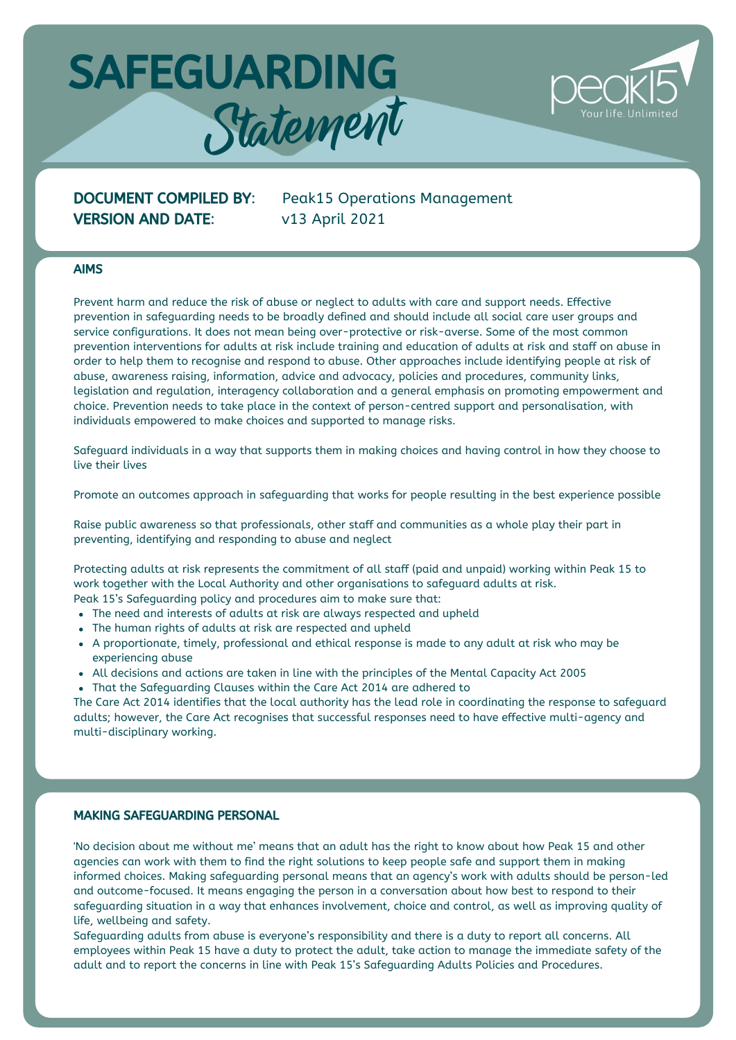

# VERSION AND DATE: v13 April 2021

DOCUMENT COMPILED BY: Peak15 Operations Management

### AIMS

Prevent harm and reduce the risk of abuse or neglect to adults with care and support needs. Effective prevention in safeguarding needs to be broadly defined and should include all social care user groups and service configurations. It does not mean being over-protective or risk-averse. Some of the most common prevention interventions for adults at risk include training and education of adults at risk and staff on abuse in order to help them to recognise and respond to abuse. Other approaches include identifying people at risk of abuse, awareness raising, information, advice and advocacy, policies and procedures, community links, legislation and regulation, interagency collaboration and a general emphasis on promoting empowerment and choice. Prevention needs to take place in the context of person-centred support and personalisation, with individuals empowered to make choices and supported to manage risks.

Safeguard individuals in a way that supports them in making choices and having control in how they choose to live their lives

Promote an outcomes approach in safeguarding that works for people resulting in the best experience possible

Raise public awareness so that professionals, other staff and communities as a whole play their part in preventing, identifying and responding to abuse and neglect

Protecting adults at risk represents the commitment of all staff (paid and unpaid) working within Peak 15 to work together with the Local Authority and other organisations to safeguard adults at risk. Peak 15's Safeguarding policy and procedures aim to make sure that:

- The need and interests of adults at risk are always respected and upheld
- The human rights of adults at risk are respected and upheld
- A proportionate, timely, professional and ethical response is made to any adult at risk who may be experiencing abuse
- All decisions and actions are taken in line with the principles of the Mental Capacity Act 2005
- That the Safeguarding Clauses within the Care Act 2014 are adhered to

The Care Act 2014 identifies that the local authority has the lead role in coordinating the response to safeguard adults; however, the Care Act recognises that successful responses need to have effective multi-agency and multi-disciplinary working.

#### MAKING SAFEGUARDING PERSONAL

'No decision about me without me' means that an adult has the right to know about how Peak 15 and other agencies can work with them to find the right solutions to keep people safe and support them in making informed choices. Making safeguarding personal means that an agency's work with adults should be person-led and outcome-focused. It means engaging the person in a conversation about how best to respond to their safeguarding situation in a way that enhances involvement, choice and control, as well as improving quality of life, wellbeing and safety.

Safeguarding adults from abuse is everyone's responsibility and there is a duty to report all concerns. All employees within Peak 15 have a duty to protect the adult, take action to manage the immediate safety of the adult and to report the concerns in line with Peak 15's Safeguarding Adults Policies and Procedures.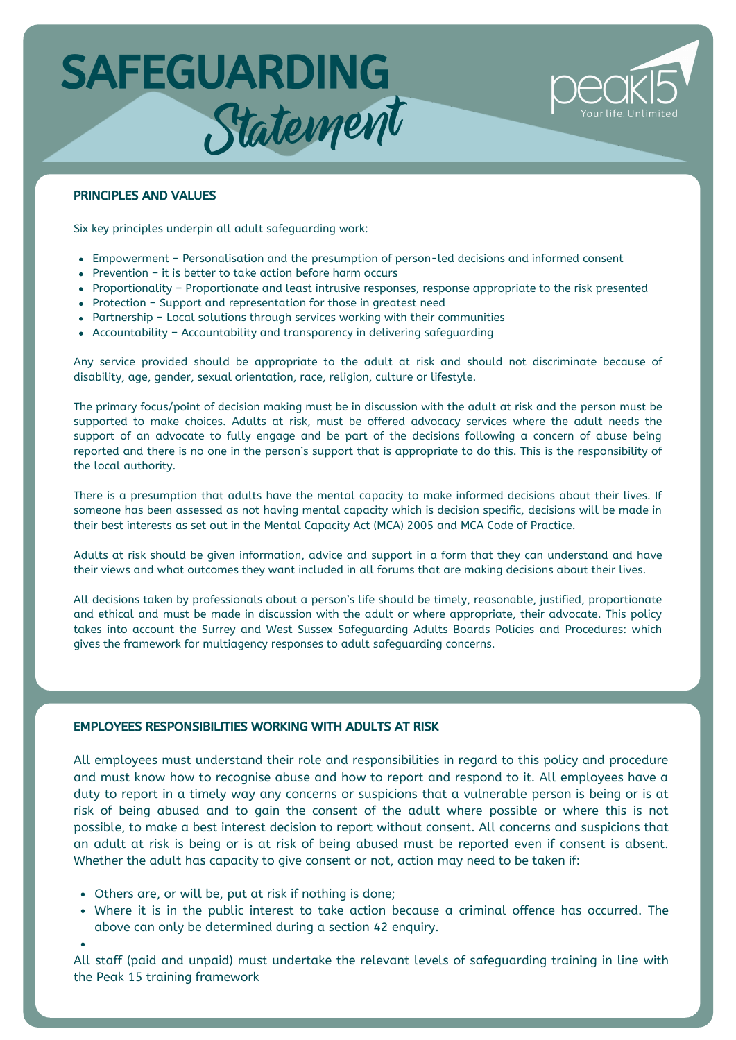

# PRINCIPLES AND VALUES

Six key principles underpin all adult safeguarding work:

- Empowerment Personalisation and the presumption of person-led decisions and informed consent
- Prevention it is better to take action before harm occurs
- Proportionality Proportionate and least intrusive responses, response appropriate to the risk presented
- Protection Support and representation for those in greatest need
- Partnership Local solutions through services working with their communities
- Accountability Accountability and transparency in delivering safeguarding

Any service provided should be appropriate to the adult at risk and should not discriminate because of disability, age, gender, sexual orientation, race, religion, culture or lifestyle.

The primary focus/point of decision making must be in discussion with the adult at risk and the person must be supported to make choices. Adults at risk, must be offered advocacy services where the adult needs the support of an advocate to fully engage and be part of the decisions following a concern of abuse being reported and there is no one in the person's support that is appropriate to do this. This is the responsibility of the local authority.

There is a presumption that adults have the mental capacity to make informed decisions about their lives. If someone has been assessed as not having mental capacity which is decision specific, decisions will be made in their best interests as set out in the Mental Capacity Act (MCA) 2005 and MCA Code of Practice.

Adults at risk should be given information, advice and support in a form that they can understand and have their views and what outcomes they want included in all forums that are making decisions about their lives.

All decisions taken by professionals about a person's life should be timely, reasonable, justified, proportionate and ethical and must be made in discussion with the adult or where appropriate, their advocate. This policy takes into account the Surrey and West Sussex Safeguarding Adults Boards Policies and Procedures: which gives the framework for multiagency responses to adult safeguarding concerns.

# EMPLOYEES RESPONSIBILITIES WORKING WITH ADULTS AT RISK

All employees must understand their role and responsibilities in regard to this policy and procedure and must know how to recognise abuse and how to report and respond to it. All employees have a duty to report in a timely way any concerns or suspicions that a vulnerable person is being or is at risk of being abused and to gain the consent of the adult where possible or where this is not possible, to make a best interest decision to report without consent. All concerns and suspicions that an adult at risk is being or is at risk of being abused must be reported even if consent is absent. Whether the adult has capacity to give consent or not, action may need to be taken if:

- Others are, or will be, put at risk if nothing is done;
- Where it is in the public interest to take action because a criminal offence has occurred. The above can only be determined during a section 42 enquiry.

All staff (paid and unpaid) must undertake the relevant levels of safeguarding training in line with the Peak 15 training framework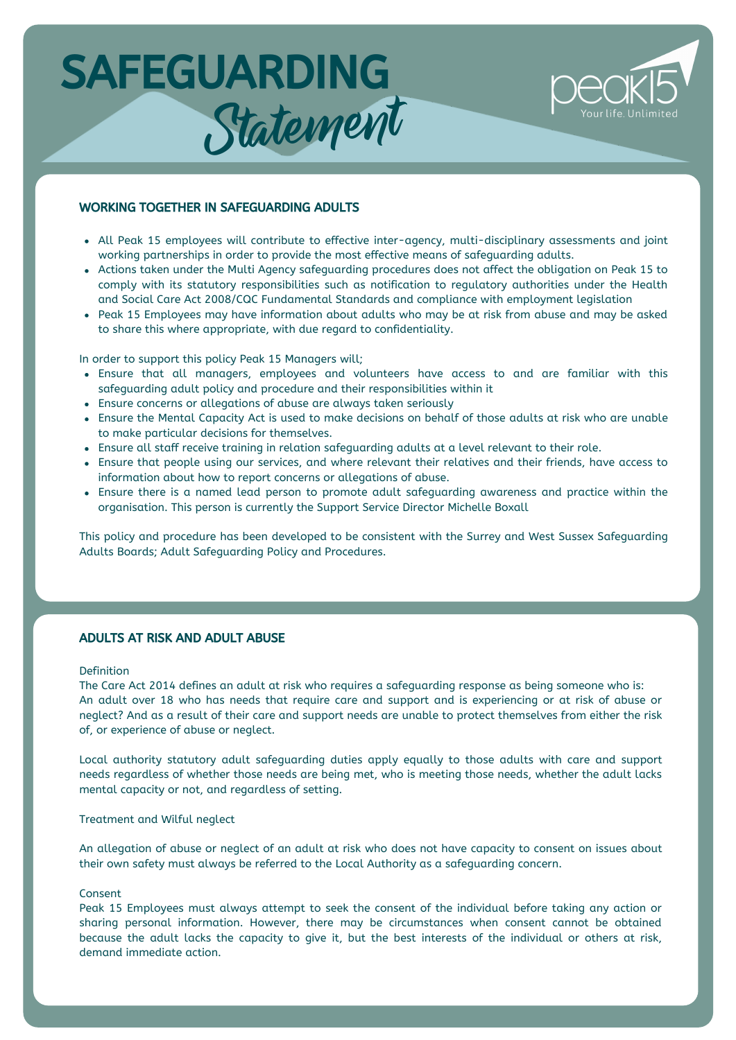

### WORKING TOGETHER IN SAFEGUARDING ADULTS

- All Peak 15 employees will contribute to effective inter-agency, multi-disciplinary assessments and joint working partnerships in order to provide the most effective means of safeguarding adults.
- Actions taken under the Multi Agency safeguarding procedures does not affect the obligation on Peak 15 to comply with its statutory responsibilities such as notification to regulatory authorities under the Health and Social Care Act 2008/CQC Fundamental Standards and compliance with employment legislation
- Peak 15 Employees may have information about adults who may be at risk from abuse and may be asked to share this where appropriate, with due regard to confidentiality.

In order to support this policy Peak 15 Managers will;

- Ensure that all managers, employees and volunteers have access to and are familiar with this safeguarding adult policy and procedure and their responsibilities within it
- Ensure concerns or allegations of abuse are always taken seriously
- Ensure the Mental Capacity Act is used to make decisions on behalf of those adults at risk who are unable to make particular decisions for themselves.
- Ensure all staff receive training in relation safeguarding adults at a level relevant to their role.
- Ensure that people using our services, and where relevant their relatives and their friends, have access to information about how to report concerns or allegations of abuse.
- Ensure there is a named lead person to promote adult safeguarding awareness and practice within the organisation. This person is currently the Support Service Director Michelle Boxall

This policy and procedure has been developed to be consistent with the Surrey and West Sussex Safeguarding Adults Boards; Adult Safeguarding Policy and Procedures.

#### ADULTS AT RISK AND ADULT ABUSE

#### Definition

The Care Act 2014 defines an adult at risk who requires a safeguarding response as being someone who is: An adult over 18 who has needs that require care and support and is experiencing or at risk of abuse or neglect? And as a result of their care and support needs are unable to protect themselves from either the risk of, or experience of abuse or neglect.

Local authority statutory adult safeguarding duties apply equally to those adults with care and support needs regardless of whether those needs are being met, who is meeting those needs, whether the adult lacks mental capacity or not, and regardless of setting.

### Treatment and Wilful neglect

An allegation of abuse or neglect of an adult at risk who does not have capacity to consent on issues about their own safety must always be referred to the Local Authority as a safeguarding concern.

#### Consent

Peak 15 Employees must always attempt to seek the consent of the individual before taking any action or sharing personal information. However, there may be circumstances when consent cannot be obtained because the adult lacks the capacity to give it, but the best interests of the individual or others at risk, demand immediate action.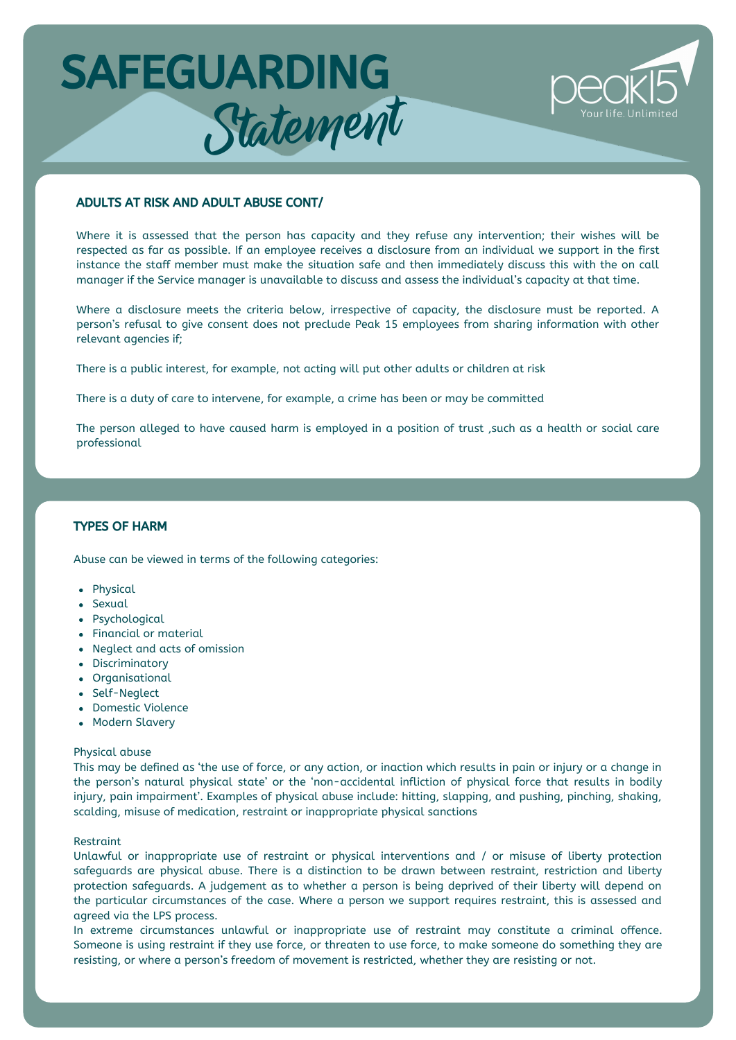

### ADULTS AT RISK AND ADULT ABUSE CONT/

Where it is assessed that the person has capacity and they refuse any intervention; their wishes will be respected as far as possible. If an employee receives a disclosure from an individual we support in the first instance the staff member must make the situation safe and then immediately discuss this with the on call manager if the Service manager is unavailable to discuss and assess the individual's capacity at that time.

Where a disclosure meets the criteria below, irrespective of capacity, the disclosure must be reported. A person's refusal to give consent does not preclude Peak 15 employees from sharing information with other relevant agencies if;

There is a public interest, for example, not acting will put other adults or children at risk

There is a duty of care to intervene, for example, a crime has been or may be committed

The person alleged to have caused harm is employed in a position of trust ,such as a health or social care professional

# TYPES OF HARM

Abuse can be viewed in terms of the following categories:

- Physical
- Sexual
- Psychological
- Financial or material
- Neglect and acts of omission
- Discriminatory
- Organisational
- Self-Neglect
- Domestic Violence
- Modern Slavery

#### Physical abuse

This may be defined as 'the use of force, or any action, or inaction which results in pain or injury or a change in the person's natural physical state' or the 'non-accidental infliction of physical force that results in bodily injury, pain impairment'. Examples of physical abuse include: hitting, slapping, and pushing, pinching, shaking, scalding, misuse of medication, restraint or inappropriate physical sanctions

#### Restraint

Unlawful or inappropriate use of restraint or physical interventions and / or misuse of liberty protection safeguards are physical abuse. There is a distinction to be drawn between restraint, restriction and liberty protection safeguards. A judgement as to whether a person is being deprived of their liberty will depend on the particular circumstances of the case. Where a person we support requires restraint, this is assessed and agreed via the LPS process.

In extreme circumstances unlawful or inappropriate use of restraint may constitute a criminal offence. Someone is using restraint if they use force, or threaten to use force, to make someone do something they are resisting, or where a person's freedom of movement is restricted, whether they are resisting or not.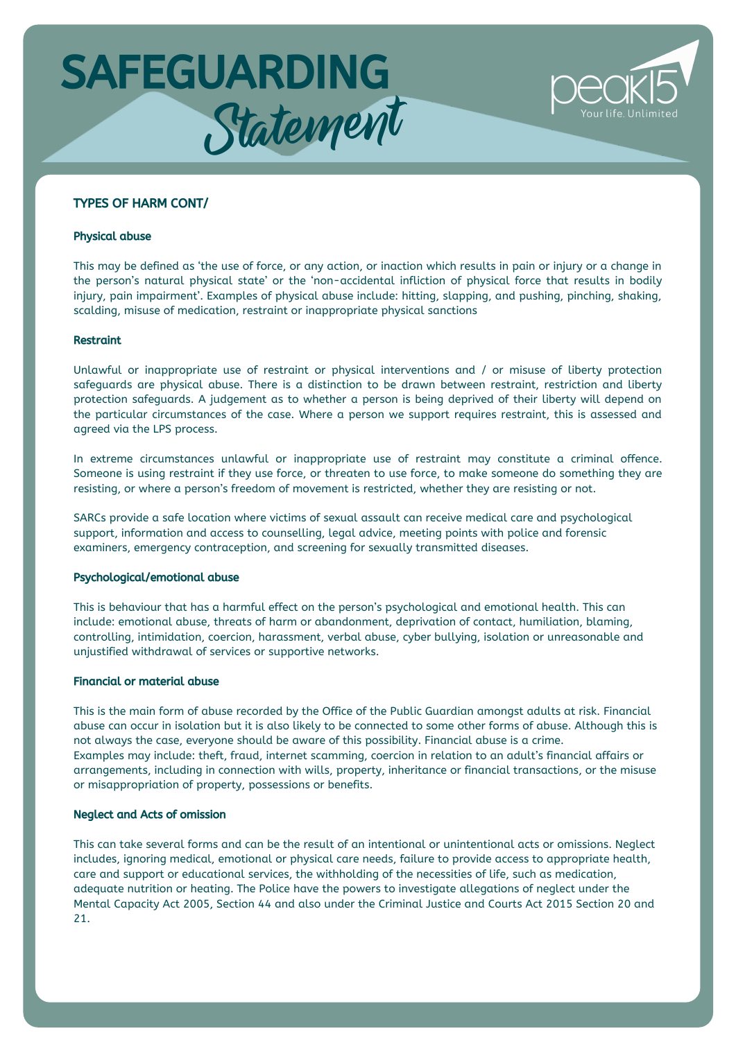

### TYPES OF HARM CONT/

#### Physical abuse

This may be defined as 'the use of force, or any action, or inaction which results in pain or injury or a change in the person's natural physical state' or the 'non-accidental infliction of physical force that results in bodily injury, pain impairment'. Examples of physical abuse include: hitting, slapping, and pushing, pinching, shaking, scalding, misuse of medication, restraint or inappropriate physical sanctions

#### Restraint

Unlawful or inappropriate use of restraint or physical interventions and / or misuse of liberty protection safeguards are physical abuse. There is a distinction to be drawn between restraint, restriction and liberty protection safeguards. A judgement as to whether a person is being deprived of their liberty will depend on the particular circumstances of the case. Where a person we support requires restraint, this is assessed and agreed via the LPS process.

In extreme circumstances unlawful or inappropriate use of restraint may constitute a criminal offence. Someone is using restraint if they use force, or threaten to use force, to make someone do something they are resisting, or where a person's freedom of movement is restricted, whether they are resisting or not.

SARCs provide a safe location where victims of sexual assault can receive medical care and psychological support, information and access to counselling, legal advice, meeting points with police and forensic examiners, emergency contraception, and screening for sexually transmitted diseases.

#### Psychological/emotional abuse

This is behaviour that has a harmful effect on the person's psychological and emotional health. This can include: emotional abuse, threats of harm or abandonment, deprivation of contact, humiliation, blaming, controlling, intimidation, coercion, harassment, verbal abuse, cyber bullying, isolation or unreasonable and unjustified withdrawal of services or supportive networks.

#### Financial or material abuse

This is the main form of abuse recorded by the Office of the Public Guardian amongst adults at risk. Financial abuse can occur in isolation but it is also likely to be connected to some other forms of abuse. Although this is not always the case, everyone should be aware of this possibility. Financial abuse is a crime. Examples may include: theft, fraud, internet scamming, coercion in relation to an adult's financial affairs or arrangements, including in connection with wills, property, inheritance or financial transactions, or the misuse or misappropriation of property, possessions or benefits.

#### Neglect and Acts of omission

This can take several forms and can be the result of an intentional or unintentional acts or omissions. Neglect includes, ignoring medical, emotional or physical care needs, failure to provide access to appropriate health, care and support or educational services, the withholding of the necessities of life, such as medication, adequate nutrition or heating. The Police have the powers to investigate allegations of neglect under the Mental Capacity Act 2005, Section 44 and also under the Criminal Justice and Courts Act 2015 Section 20 and 21.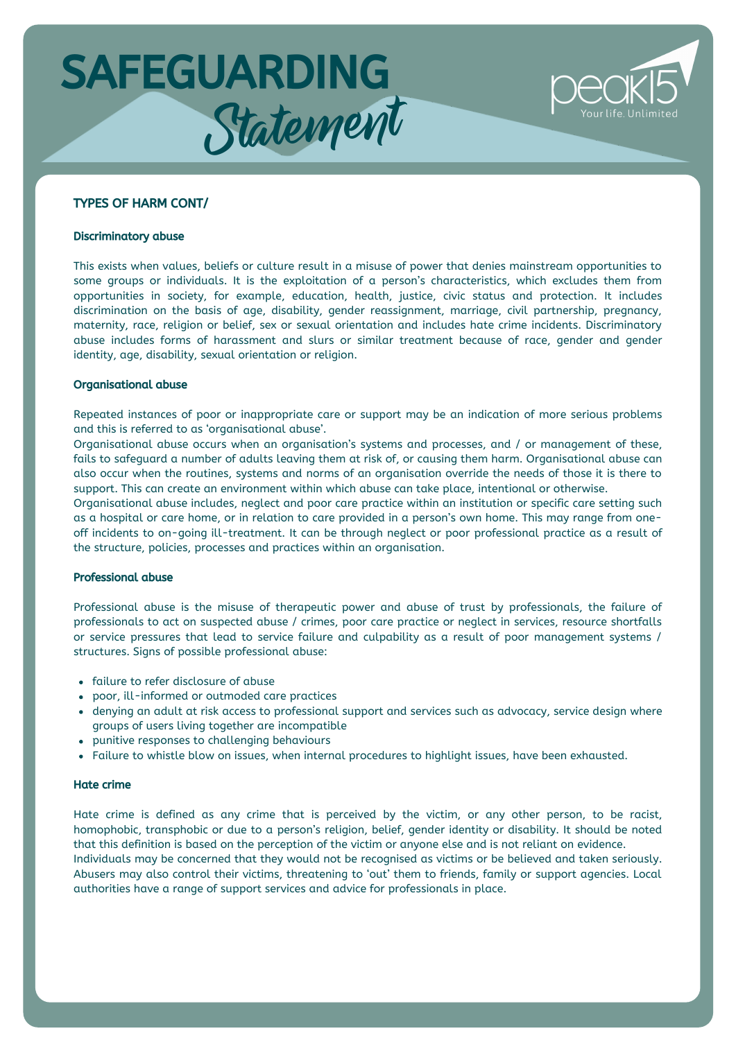

### TYPES OF HARM CONT/

#### Discriminatory abuse

This exists when values, beliefs or culture result in a misuse of power that denies mainstream opportunities to some groups or individuals. It is the exploitation of a person's characteristics, which excludes them from opportunities in society, for example, education, health, justice, civic status and protection. It includes discrimination on the basis of age, disability, gender reassignment, marriage, civil partnership, pregnancy, maternity, race, religion or belief, sex or sexual orientation and includes hate crime incidents. Discriminatory abuse includes forms of harassment and slurs or similar treatment because of race, gender and gender identity, age, disability, sexual orientation or religion.

#### Organisational abuse

Repeated instances of poor or inappropriate care or support may be an indication of more serious problems and this is referred to as 'organisational abuse'.

Organisational abuse occurs when an organisation's systems and processes, and / or management of these, fails to safeguard a number of adults leaving them at risk of, or causing them harm. Organisational abuse can also occur when the routines, systems and norms of an organisation override the needs of those it is there to support. This can create an environment within which abuse can take place, intentional or otherwise.

Organisational abuse includes, neglect and poor care practice within an institution or specific care setting such as a hospital or care home, or in relation to care provided in a person's own home. This may range from oneoff incidents to on-going ill-treatment. It can be through neglect or poor professional practice as a result of the structure, policies, processes and practices within an organisation.

#### Professional abuse

Professional abuse is the misuse of therapeutic power and abuse of trust by professionals, the failure of professionals to act on suspected abuse / crimes, poor care practice or neglect in services, resource shortfalls or service pressures that lead to service failure and culpability as a result of poor management systems / structures. Signs of possible professional abuse:

- failure to refer disclosure of abuse
- poor, ill-informed or outmoded care practices
- denying an adult at risk access to professional support and services such as advocacy, service design where groups of users living together are incompatible
- punitive responses to challenging behaviours
- Failure to whistle blow on issues, when internal procedures to highlight issues, have been exhausted.

### Hate crime

Hate crime is defined as any crime that is perceived by the victim, or any other person, to be racist, homophobic, transphobic or due to a person's religion, belief, gender identity or disability. It should be noted that this definition is based on the perception of the victim or anyone else and is not reliant on evidence. Individuals may be concerned that they would not be recognised as victims or be believed and taken seriously. Abusers may also control their victims, threatening to 'out' them to friends, family or support agencies. Local authorities have a range of support services and advice for professionals in place.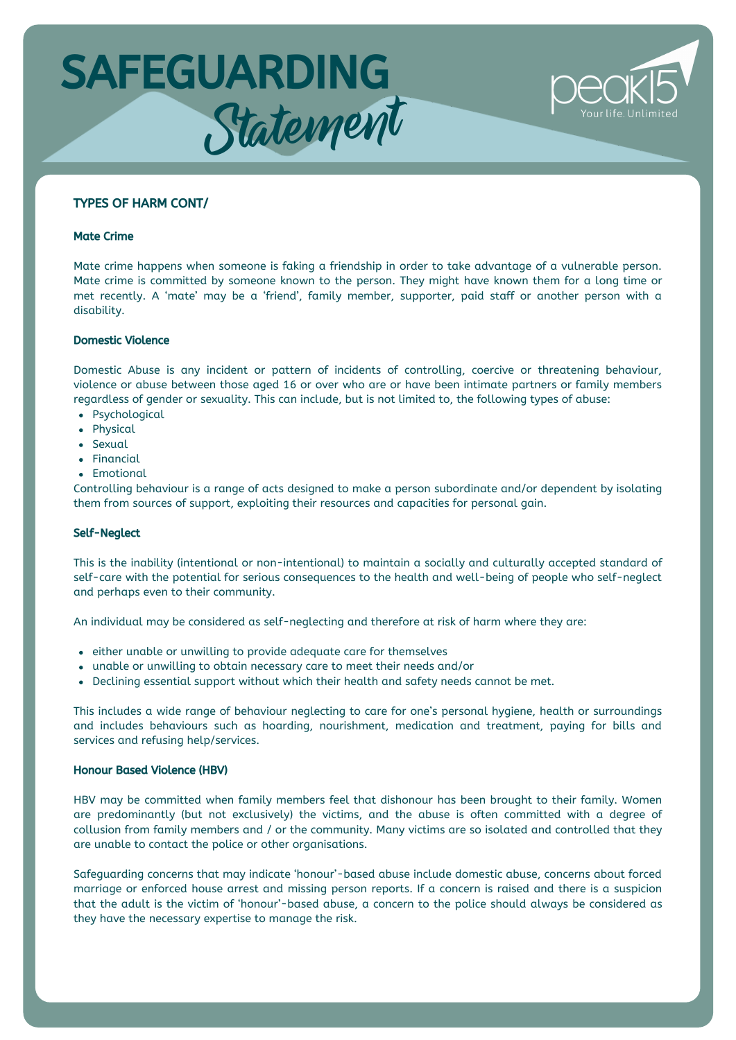

### TYPES OF HARM CONT/

#### Mate Crime

Mate crime happens when someone is faking a friendship in order to take advantage of a vulnerable person. Mate crime is committed by someone known to the person. They might have known them for a long time or met recently. A 'mate' may be a 'friend', family member, supporter, paid staff or another person with a disability.

#### Domestic Violence

Domestic Abuse is any incident or pattern of incidents of controlling, coercive or threatening behaviour, violence or abuse between those aged 16 or over who are or have been intimate partners or family members regardless of gender or sexuality. This can include, but is not limited to, the following types of abuse:

- Psychological
- Physical
- Sexual
- Financial
- Emotional

Controlling behaviour is a range of acts designed to make a person subordinate and/or dependent by isolating them from sources of support, exploiting their resources and capacities for personal gain.

### Self-Neglect

This is the inability (intentional or non-intentional) to maintain a socially and culturally accepted standard of self-care with the potential for serious consequences to the health and well-being of people who self-neglect and perhaps even to their community.

An individual may be considered as self-neglecting and therefore at risk of harm where they are:

- either unable or unwilling to provide adequate care for themselves
- unable or unwilling to obtain necessary care to meet their needs and/or
- Declining essential support without which their health and safety needs cannot be met.

This includes a wide range of behaviour neglecting to care for one's personal hygiene, health or surroundings and includes behaviours such as hoarding, nourishment, medication and treatment, paying for bills and services and refusing help/services.

#### Honour Based Violence (HBV)

HBV may be committed when family members feel that dishonour has been brought to their family. Women are predominantly (but not exclusively) the victims, and the abuse is often committed with a degree of collusion from family members and / or the community. Many victims are so isolated and controlled that they are unable to contact the police or other organisations.

Safeguarding concerns that may indicate 'honour'-based abuse include domestic abuse, concerns about forced marriage or enforced house arrest and missing person reports. If a concern is raised and there is a suspicion that the adult is the victim of 'honour'-based abuse, a concern to the police should always be considered as they have the necessary expertise to manage the risk.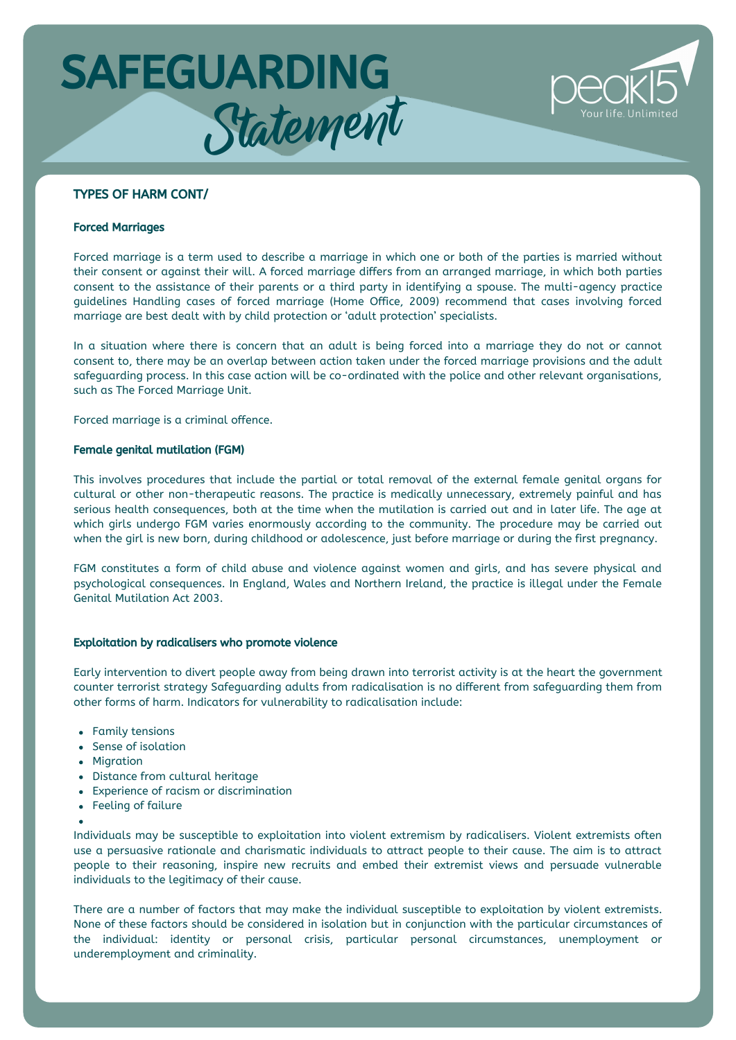

# TYPES OF HARM CONT/

#### Forced Marriages

Forced marriage is a term used to describe a marriage in which one or both of the parties is married without their consent or against their will. A forced marriage differs from an arranged marriage, in which both parties consent to the assistance of their parents or a third party in identifying a spouse. The multi-agency practice guidelines Handling cases of forced marriage (Home Office, 2009) recommend that cases involving forced marriage are best dealt with by child protection or 'adult protection' specialists.

In a situation where there is concern that an adult is being forced into a marriage they do not or cannot consent to, there may be an overlap between action taken under the forced marriage provisions and the adult safeguarding process. In this case action will be co-ordinated with the police and other relevant organisations, such as The Forced Marriage Unit.

Forced marriage is a criminal offence.

#### Female genital mutilation (FGM)

This involves procedures that include the partial or total removal of the external female genital organs for cultural or other non-therapeutic reasons. The practice is medically unnecessary, extremely painful and has serious health consequences, both at the time when the mutilation is carried out and in later life. The age at which girls undergo FGM varies enormously according to the community. The procedure may be carried out when the girl is new born, during childhood or adolescence, just before marriage or during the first pregnancy.

FGM constitutes a form of child abuse and violence against women and girls, and has severe physical and psychological consequences. In England, Wales and Northern Ireland, the practice is illegal under the Female Genital Mutilation Act 2003.

#### Exploitation by radicalisers who promote violence

Early intervention to divert people away from being drawn into terrorist activity is at the heart the government counter terrorist strategy Safeguarding adults from radicalisation is no different from safeguarding them from other forms of harm. Indicators for vulnerability to radicalisation include:

- Family tensions
- Sense of isolation
- Migration
- Distance from cultural heritage
- Experience of racism or discrimination
- Feeling of failure

Individuals may be susceptible to exploitation into violent extremism by radicalisers. Violent extremists often use a persuasive rationale and charismatic individuals to attract people to their cause. The aim is to attract people to their reasoning, inspire new recruits and embed their extremist views and persuade vulnerable individuals to the legitimacy of their cause.

There are a number of factors that may make the individual susceptible to exploitation by violent extremists. None of these factors should be considered in isolation but in conjunction with the particular circumstances of the individual: identity or personal crisis, particular personal circumstances, unemployment or underemployment and criminality.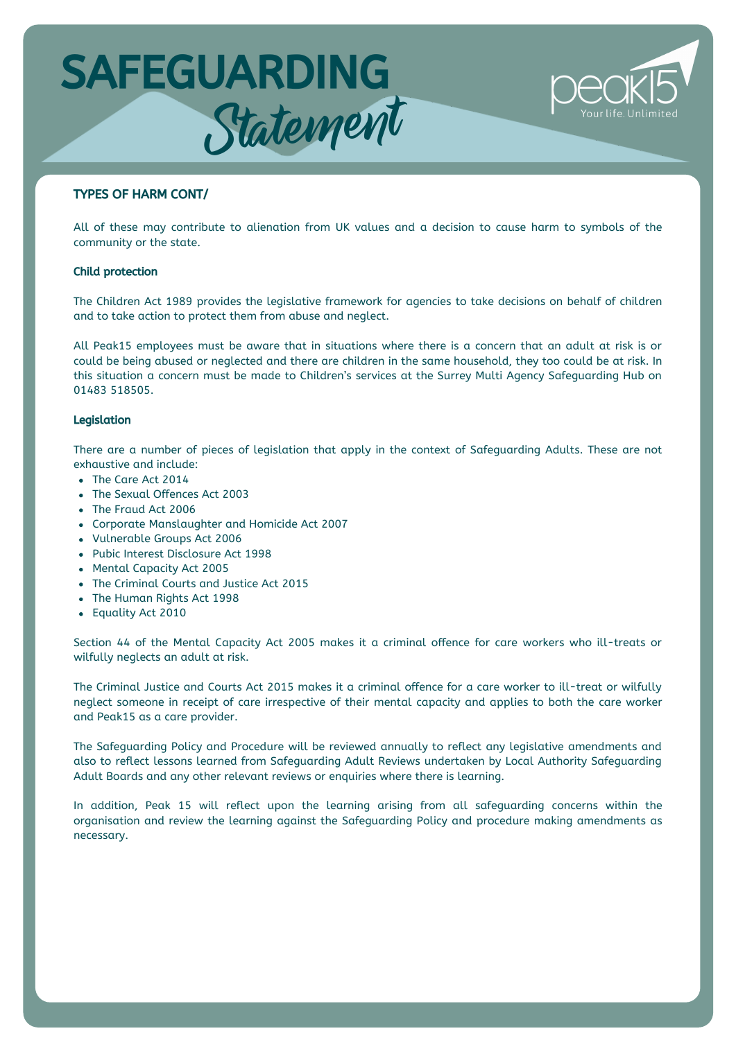

# TYPES OF HARM CONT/

All of these may contribute to alienation from UK values and a decision to cause harm to symbols of the community or the state.

#### Child protection

The Children Act 1989 provides the legislative framework for agencies to take decisions on behalf of children and to take action to protect them from abuse and neglect.

All Peak15 employees must be aware that in situations where there is a concern that an adult at risk is or could be being abused or neglected and there are children in the same household, they too could be at risk. In this situation a concern must be made to Children's services at the Surrey Multi Agency Safeguarding Hub on 01483 518505.

#### Legislation

There are a number of pieces of legislation that apply in the context of Safeguarding Adults. These are not exhaustive and include:

- The Care Act 2014
- The Sexual Offences Act 2003
- The Fraud Act 2006
- Corporate Manslaughter and Homicide Act 2007
- Vulnerable Groups Act 2006
- Pubic Interest Disclosure Act 1998
- Mental Capacity Act 2005
- The Criminal Courts and Justice Act 2015
- The Human Rights Act 1998
- Equality Act 2010

Section 44 of the Mental Capacity Act 2005 makes it a criminal offence for care workers who ill-treats or wilfully neglects an adult at risk.

The Criminal Justice and Courts Act 2015 makes it a criminal offence for a care worker to ill-treat or wilfully neglect someone in receipt of care irrespective of their mental capacity and applies to both the care worker and Peak15 as a care provider.

The Safeguarding Policy and Procedure will be reviewed annually to reflect any legislative amendments and also to reflect lessons learned from Safeguarding Adult Reviews undertaken by Local Authority Safeguarding Adult Boards and any other relevant reviews or enquiries where there is learning.

In addition, Peak 15 will reflect upon the learning arising from all safeguarding concerns within the organisation and review the learning against the Safeguarding Policy and procedure making amendments as necessary.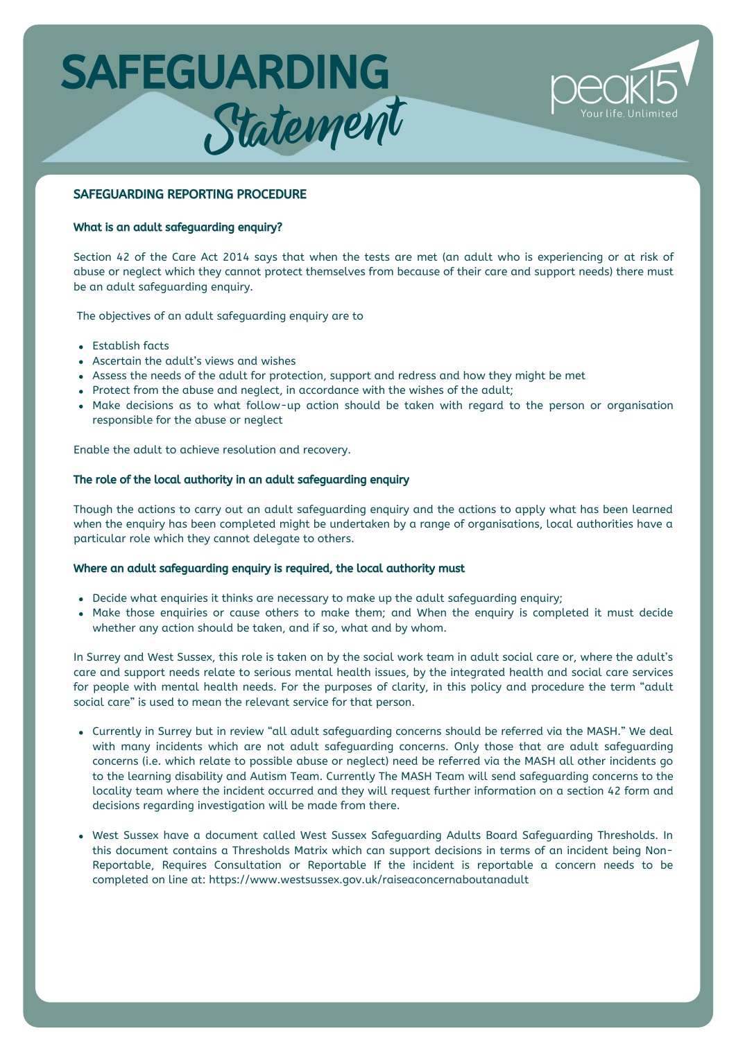

# SAFEGUARDING REPORTING PROCEDURE

### What is an adult safeguarding enquiry?

Section 42 of the Care Act 2014 says that when the tests are met (an adult who is experiencing or at risk of abuse or neglect which they cannot protect themselves from because of their care and support needs) there must be an adult safeguarding enquiry.

The objectives of an adult safeguarding enquiry are to

- Establish facts
- Ascertain the adult's views and wishes
- Assess the needs of the adult for protection, support and redress and how they might be met
- Protect from the abuse and neglect, in accordance with the wishes of the adult;
- Make decisions as to what follow-up action should be taken with regard to the person or organisation responsible for the abuse or neglect

Enable the adult to achieve resolution and recovery.

### The role of the local authority in an adult safeguarding enquiry

Though the actions to carry out an adult safeguarding enquiry and the actions to apply what has been learned when the enquiry has been completed might be undertaken by a range of organisations, local authorities have a particular role which they cannot delegate to others.

#### Where an adult safeguarding enquiry is required, the local authority must

- Decide what enquiries it thinks are necessary to make up the adult safeguarding enquiry;
- Make those enquiries or cause others to make them; and When the enquiry is completed it must decide whether any action should be taken, and if so, what and by whom.

In Surrey and West Sussex, this role is taken on by the social work team in adult social care or, where the adult's care and support needs relate to serious mental health issues, by the integrated health and social care services for people with mental health needs. For the purposes of clarity, in this policy and procedure the term "adult social care" is used to mean the relevant service for that person.

- Currently in Surrey but in review "all adult safeguarding concerns should be referred via the MASH." We deal with many incidents which are not adult safeguarding concerns. Only those that are adult safeguarding concerns (i.e. which relate to possible abuse or neglect) need be referred via the MASH all other incidents go to the learning disability and Autism Team. Currently The MASH Team will send safeguarding concerns to the locality team where the incident occurred and they will request further information on a section 42 form and decisions regarding investigation will be made from there.
- West Sussex have a document called West Sussex Safeguarding Adults Board Safeguarding Thresholds. In this document contains a Thresholds Matrix which can support decisions in terms of an incident being Non-Reportable, Requires Consultation or Reportable If the incident is reportable a concern needs to be completed on line at: https://www.westsussex.gov.uk/raiseaconcernaboutanadult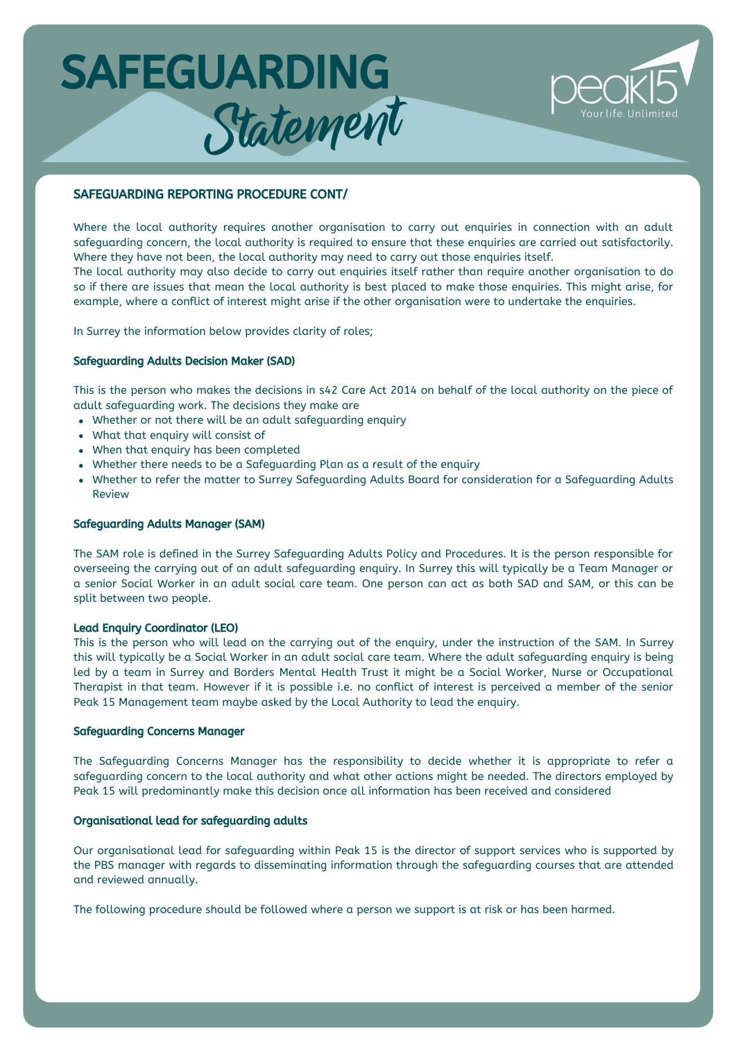

# SAFEGUARDING REPORTING PROCEDURE CONT/

Where the local authority requires another organisation to carry out enquiries in connection with an adult safeguarding concern, the local authority is required to ensure that these enquiries are carried out satisfactorily. Where they have not been, the local authority may need to carry out those enquiries itself.

The local authority may also decide to carry out enquiries itself rather than require another organisation to do so if there are issues that mean the local authority is best placed to make those enquiries. This might arise, for example, where a conflict of interest might arise if the other organisation were to undertake the enquiries.

In Surrey the information below provides clarity of roles;

#### Safeguarding Adults Decision Maker (SAD)

This is the person who makes the decisions in s42 Care Act 2014 on behalf of the local authority on the piece of adult safeguarding work. The decisions they make are

- Whether or not there will be an adult safeguarding enquiry
- What that enquiry will consist of
- When that enquiry has been completed
- Whether there needs to be a Safeguarding Plan as a result of the enquiry
- Whether to refer the matter to Surrey Safeguarding Adults Board for consideration for a Safeguarding Adults Review

### Safeguarding Adults Manager (SAM)

The SAM role is defined in the Surrey Safeguarding Adults Policy and Procedures. It is the person responsible for overseeing the carrying out of an adult safeguarding enquiry. In Surrey this will typically be a Team Manager or a senior Social Worker in an adult social care team. One person can act as both SAD and SAM, or this can be split between two people.

### Lead Enquiry Coordinator (LEO)

This is the person who will lead on the carrying out of the enquiry, under the instruction of the SAM. In Surrey this will typically be a Social Worker in an adult social care team. Where the adult safeguarding enquiry is being led by a team in Surrey and Borders Mental Health Trust it might be a Social Worker, Nurse or Occupational Therapist in that team. However if it is possible i.e. no conflict of interest is perceived a member of the senior Peak 15 Management team maybe asked by the Local Authority to lead the enquiry.

#### Safeguarding Concerns Manager

The Safeguarding Concerns Manager has the responsibility to decide whether it is appropriate to refer a safeguarding concern to the local authority and what other actions might be needed. The directors employed by Peak 15 will predominantly make this decision once all information has been received and considered

#### Organisational lead for safeguarding adults

Our organisational lead for safeguarding within Peak 15 is the director of support services who is supported by the PBS manager with regards to disseminating information through the safeguarding courses that are attended and reviewed annually.

The following procedure should be followed where a person we support is at risk or has been harmed.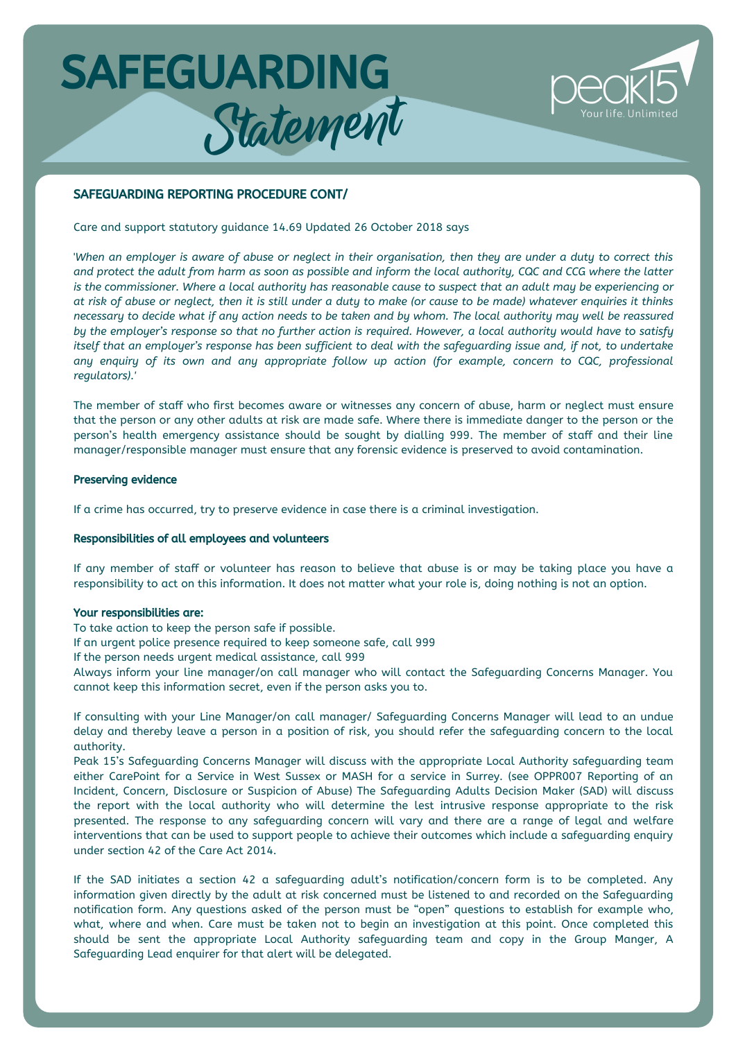

### SAFEGUARDING REPORTING PROCEDURE CONT/

Care and support statutory guidance 14.69 Updated 26 October 2018 says

'When an employer is aware of abuse or neglect in their organisation, then they are under a duty to correct this and protect the adult from harm as soon as possible and inform the local authority, CQC and CCG where the latter is the commissioner. Where a local authority has reasonable cause to suspect that an adult may be experiencing or at risk of abuse or neglect, then it is still under a duty to make (or cause to be made) whatever enquiries it thinks necessary to decide what if any action needs to be taken and by whom. The local authority may well be reassured by the employer's response so that no further action is required. However, a local authority would have to satisfy itself that an employer's response has been sufficient to deal with the safequarding issue and, if not, to undertake *any enquiry of its own and any appropriate follow up action (for example, concern to CQC, professional regulators).'*

The member of staff who first becomes aware or witnesses any concern of abuse, harm or neglect must ensure that the person or any other adults at risk are made safe. Where there is immediate danger to the person or the person's health emergency assistance should be sought by dialling 999. The member of staff and their line manager/responsible manager must ensure that any forensic evidence is preserved to avoid contamination.

#### Preserving evidence

If a crime has occurred, try to preserve evidence in case there is a criminal investigation.

#### Responsibilities of all employees and volunteers

If any member of staff or volunteer has reason to believe that abuse is or may be taking place you have a responsibility to act on this information. It does not matter what your role is, doing nothing is not an option.

#### Your responsibilities are:

To take action to keep the person safe if possible.

If an urgent police presence required to keep someone safe, call 999

If the person needs urgent medical assistance, call 999

Always inform your line manager/on call manager who will contact the Safeguarding Concerns Manager. You cannot keep this information secret, even if the person asks you to.

If consulting with your Line Manager/on call manager/ Safeguarding Concerns Manager will lead to an undue delay and thereby leave a person in a position of risk, you should refer the safeguarding concern to the local authority.

Peak 15's Safeguarding Concerns Manager will discuss with the appropriate Local Authority safeguarding team either CarePoint for a Service in West Sussex or MASH for a service in Surrey. (see OPPR007 Reporting of an Incident, Concern, Disclosure or Suspicion of Abuse) The Safeguarding Adults Decision Maker (SAD) will discuss the report with the local authority who will determine the lest intrusive response appropriate to the risk presented. The response to any safeguarding concern will vary and there are a range of legal and welfare interventions that can be used to support people to achieve their outcomes which include a safeguarding enquiry under section 42 of the Care Act 2014.

If the SAD initiates a section 42 a safeguarding adult's notification/concern form is to be completed. Any information given directly by the adult at risk concerned must be listened to and recorded on the Safeguarding notification form. Any questions asked of the person must be "open" questions to establish for example who, what, where and when. Care must be taken not to begin an investigation at this point. Once completed this should be sent the appropriate Local Authority safeguarding team and copy in the Group Manger, A Safeguarding Lead enquirer for that alert will be delegated.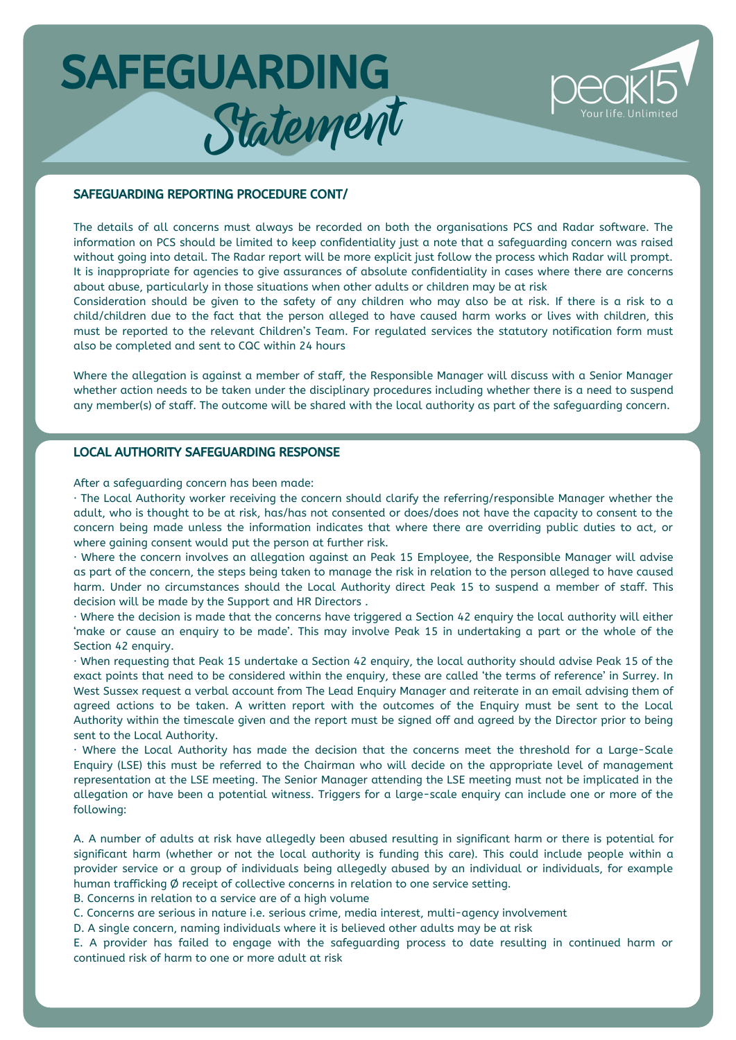

#### SAFEGUARDING REPORTING PROCEDURE CONT/

The details of all concerns must always be recorded on both the organisations PCS and Radar software. The information on PCS should be limited to keep confidentiality just a note that a safeguarding concern was raised without going into detail. The Radar report will be more explicit just follow the process which Radar will prompt. It is inappropriate for agencies to give assurances of absolute confidentiality in cases where there are concerns about abuse, particularly in those situations when other adults or children may be at risk

Consideration should be given to the safety of any children who may also be at risk. If there is a risk to a child/children due to the fact that the person alleged to have caused harm works or lives with children, this must be reported to the relevant Children's Team. For regulated services the statutory notification form must also be completed and sent to CQC within 24 hours

Where the allegation is against a member of staff, the Responsible Manager will discuss with a Senior Manager whether action needs to be taken under the disciplinary procedures including whether there is a need to suspend any member(s) of staff. The outcome will be shared with the local authority as part of the safeguarding concern.

### LOCAL AUTHORITY SAFEGUARDING RESPONSE

After a safeguarding concern has been made:

· The Local Authority worker receiving the concern should clarify the referring/responsible Manager whether the adult, who is thought to be at risk, has/has not consented or does/does not have the capacity to consent to the concern being made unless the information indicates that where there are overriding public duties to act, or where gaining consent would put the person at further risk.

· Where the concern involves an allegation against an Peak 15 Employee, the Responsible Manager will advise as part of the concern, the steps being taken to manage the risk in relation to the person alleged to have caused harm. Under no circumstances should the Local Authority direct Peak 15 to suspend a member of staff. This decision will be made by the Support and HR Directors .

· Where the decision is made that the concerns have triggered a Section 42 enquiry the local authority will either 'make or cause an enquiry to be made'. This may involve Peak 15 in undertaking a part or the whole of the Section 42 enquiry.

· When requesting that Peak 15 undertake a Section 42 enquiry, the local authority should advise Peak 15 of the exact points that need to be considered within the enquiry, these are called 'the terms of reference' in Surrey. In West Sussex request a verbal account from The Lead Enquiry Manager and reiterate in an email advising them of agreed actions to be taken. A written report with the outcomes of the Enquiry must be sent to the Local Authority within the timescale given and the report must be signed off and agreed by the Director prior to being sent to the Local Authority.

· Where the Local Authority has made the decision that the concerns meet the threshold for a Large-Scale Enquiry (LSE) this must be referred to the Chairman who will decide on the appropriate level of management representation at the LSE meeting. The Senior Manager attending the LSE meeting must not be implicated in the allegation or have been a potential witness. Triggers for a large-scale enquiry can include one or more of the following:

A. A number of adults at risk have allegedly been abused resulting in significant harm or there is potential for significant harm (whether or not the local authority is funding this care). This could include people within a provider service or a group of individuals being allegedly abused by an individual or individuals, for example human trafficking Ø receipt of collective concerns in relation to one service setting.

B. Concerns in relation to a service are of a high volume

C. Concerns are serious in nature i.e. serious crime, media interest, multi-agency involvement

D. A single concern, naming individuals where it is believed other adults may be at risk

E. A provider has failed to engage with the safeguarding process to date resulting in continued harm or continued risk of harm to one or more adult at risk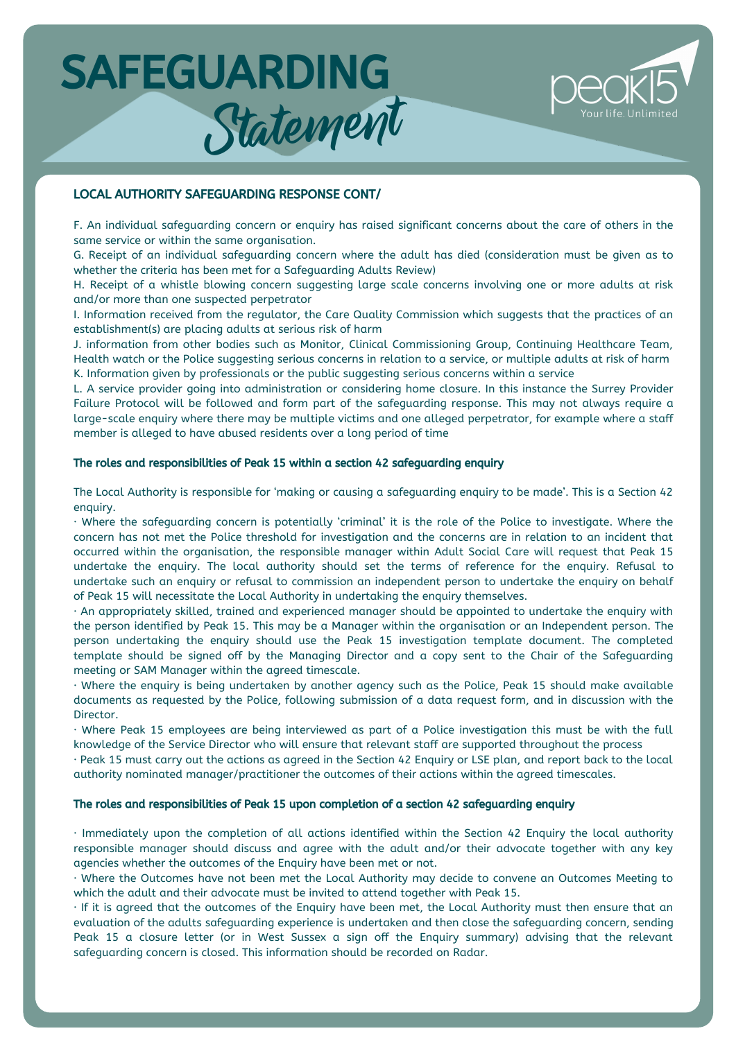

### LOCAL AUTHORITY SAFEGUARDING RESPONSE CONT/

F. An individual safeguarding concern or enquiry has raised significant concerns about the care of others in the same service or within the same organisation.

G. Receipt of an individual safeguarding concern where the adult has died (consideration must be given as to whether the criteria has been met for a Safeguarding Adults Review)

H. Receipt of a whistle blowing concern suggesting large scale concerns involving one or more adults at risk and/or more than one suspected perpetrator

I. Information received from the regulator, the Care Quality Commission which suggests that the practices of an establishment(s) are placing adults at serious risk of harm

J. information from other bodies such as Monitor, Clinical Commissioning Group, Continuing Healthcare Team, Health watch or the Police suggesting serious concerns in relation to a service, or multiple adults at risk of harm K. Information given by professionals or the public suggesting serious concerns within a service

L. A service provider going into administration or considering home closure. In this instance the Surrey Provider Failure Protocol will be followed and form part of the safeguarding response. This may not always require a large-scale enquiry where there may be multiple victims and one alleged perpetrator, for example where a staff member is alleged to have abused residents over a long period of time

#### The roles and responsibilities of Peak 15 within a section 42 safeguarding enquiry

The Local Authority is responsible for 'making or causing a safeguarding enquiry to be made'. This is a Section 42 enquiry.

· Where the safeguarding concern is potentially 'criminal' it is the role of the Police to investigate. Where the concern has not met the Police threshold for investigation and the concerns are in relation to an incident that occurred within the organisation, the responsible manager within Adult Social Care will request that Peak 15 undertake the enquiry. The local authority should set the terms of reference for the enquiry. Refusal to undertake such an enquiry or refusal to commission an independent person to undertake the enquiry on behalf of Peak 15 will necessitate the Local Authority in undertaking the enquiry themselves.

· An appropriately skilled, trained and experienced manager should be appointed to undertake the enquiry with the person identified by Peak 15. This may be a Manager within the organisation or an Independent person. The person undertaking the enquiry should use the Peak 15 investigation template document. The completed template should be signed off by the Managing Director and a copy sent to the Chair of the Safeguarding meeting or SAM Manager within the agreed timescale.

· Where the enquiry is being undertaken by another agency such as the Police, Peak 15 should make available documents as requested by the Police, following submission of a data request form, and in discussion with the Director.

· Where Peak 15 employees are being interviewed as part of a Police investigation this must be with the full knowledge of the Service Director who will ensure that relevant staff are supported throughout the process

· Peak 15 must carry out the actions as agreed in the Section 42 Enquiry or LSE plan, and report back to the local authority nominated manager/practitioner the outcomes of their actions within the agreed timescales.

### The roles and responsibilities of Peak 15 upon completion of a section 42 safeguarding enquiry

· Immediately upon the completion of all actions identified within the Section 42 Enquiry the local authority responsible manager should discuss and agree with the adult and/or their advocate together with any key agencies whether the outcomes of the Enquiry have been met or not.

· Where the Outcomes have not been met the Local Authority may decide to convene an Outcomes Meeting to which the adult and their advocate must be invited to attend together with Peak 15.

· If it is agreed that the outcomes of the Enquiry have been met, the Local Authority must then ensure that an evaluation of the adults safeguarding experience is undertaken and then close the safeguarding concern, sending Peak 15 a closure letter (or in West Sussex a sign off the Enquiry summary) advising that the relevant safeguarding concern is closed. This information should be recorded on Radar.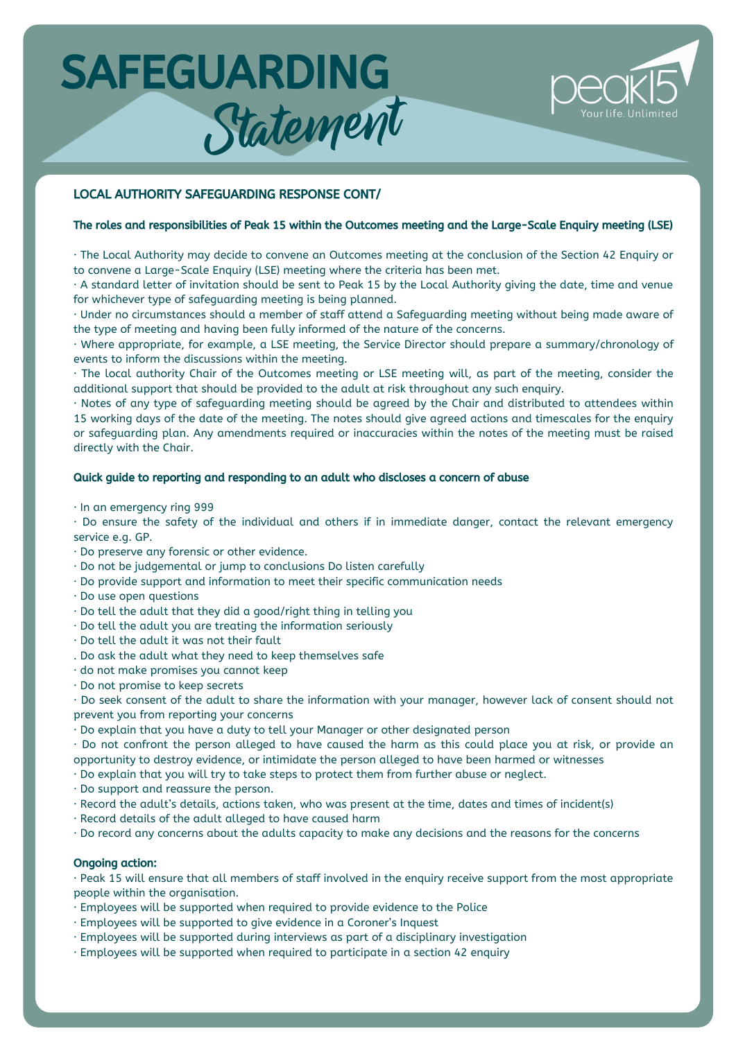

### LOCAL AUTHORITY SAFEGUARDING RESPONSE CONT/

# The roles and responsibilities of Peak 15 within the Outcomes meeting and the Large-Scale Enquiry meeting (LSE)

· The Local Authority may decide to convene an Outcomes meeting at the conclusion of the Section 42 Enquiry or to convene a Large-Scale Enquiry (LSE) meeting where the criteria has been met.

· A standard letter of invitation should be sent to Peak 15 by the Local Authority giving the date, time and venue for whichever type of safeguarding meeting is being planned.

· Under no circumstances should a member of staff attend a Safeguarding meeting without being made aware of the type of meeting and having been fully informed of the nature of the concerns.

· Where appropriate, for example, a LSE meeting, the Service Director should prepare a summary/chronology of events to inform the discussions within the meeting.

· The local authority Chair of the Outcomes meeting or LSE meeting will, as part of the meeting, consider the additional support that should be provided to the adult at risk throughout any such enquiry.

· Notes of any type of safeguarding meeting should be agreed by the Chair and distributed to attendees within 15 working days of the date of the meeting. The notes should give agreed actions and timescales for the enquiry or safeguarding plan. Any amendments required or inaccuracies within the notes of the meeting must be raised directly with the Chair.

#### Quick guide to reporting and responding to an adult who discloses a concern of abuse

#### · In an emergency ring 999

· Do ensure the safety of the individual and others if in immediate danger, contact the relevant emergency service e.g. GP.

- · Do preserve any forensic or other evidence.
- · Do not be judgemental or jump to conclusions Do listen carefully
- · Do provide support and information to meet their specific communication needs
- · Do use open questions
- · Do tell the adult that they did a good/right thing in telling you
- · Do tell the adult you are treating the information seriously
- · Do tell the adult it was not their fault
- . Do ask the adult what they need to keep themselves safe
- · do not make promises you cannot keep
- · Do not promise to keep secrets

· Do seek consent of the adult to share the information with your manager, however lack of consent should not prevent you from reporting your concerns

· Do explain that you have a duty to tell your Manager or other designated person

· Do not confront the person alleged to have caused the harm as this could place you at risk, or provide an opportunity to destroy evidence, or intimidate the person alleged to have been harmed or witnesses

· Do explain that you will try to take steps to protect them from further abuse or neglect.

· Do support and reassure the person.

- · Record the adult's details, actions taken, who was present at the time, dates and times of incident(s)
- · Record details of the adult alleged to have caused harm

· Do record any concerns about the adults capacity to make any decisions and the reasons for the concerns

#### Ongoing action:

· Peak 15 will ensure that all members of staff involved in the enquiry receive support from the most appropriate people within the organisation.

- · Employees will be supported when required to provide evidence to the Police
- · Employees will be supported to give evidence in a Coroner's Inquest
- · Employees will be supported during interviews as part of a disciplinary investigation
- · Employees will be supported when required to participate in a section 42 enquiry